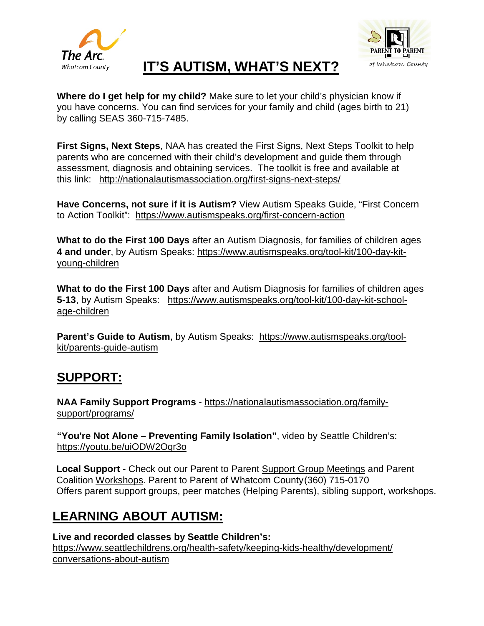



# **IT'S AUTISM, WHAT'S NEXT?**

**Where do I get help for my child?** Make sure to let your child's physician know if you have concerns. You can find services for your family and child (ages birth to 21) by calling SEAS 360-715-7485.

**First Signs, Next Steps**, NAA has created the First Signs, Next Steps Toolkit to help parents who are concerned with their child's development and guide them through assessment, diagnosis and obtaining services. The toolkit is free and available at this link: <http://nationalautismassociation.org/first-signs-next-steps/>

**Have Concerns, not sure if it is Autism?** View Autism Speaks Guide, "First Concern to Action Toolkit": <https://www.autismspeaks.org/first-concern-action>

**What to do the First 100 Days** after an Autism Diagnosis, for families of children ages **4 and under**, by Autism Speaks: [https://www.autismspeaks.org/tool-kit/100-day-kit](https://www.autismspeaks.org/tool-kit/100-day-kit-young-children)[young-children](https://www.autismspeaks.org/tool-kit/100-day-kit-young-children)

**What to do the First 100 Days** after and Autism Diagnosis for families of children ages **5-13**, by Autism Speaks: [https://www.autismspeaks.org/tool-kit/100-day-kit-school](https://www.autismspeaks.org/tool-kit/100-day-kit-school-age-children)[age-children](https://www.autismspeaks.org/tool-kit/100-day-kit-school-age-children)

**Parent's Guide to Autism**, by Autism Speaks: [https://www.autismspeaks.org/tool](https://www.autismspeaks.org/tool-kit/parents-guide-autism)[kit/parents-guide-autism](https://www.autismspeaks.org/tool-kit/parents-guide-autism)

## **SUPPORT:**

**NAA Family Support Programs** - [https://nationalautismassociation.org/family](https://nationalautismassociation.org/family-support/programs/)[support/programs/](https://nationalautismassociation.org/family-support/programs/)

**"You're Not Alone – Preventing Family Isolation"**, video by Seattle Children's: https://youtu.be/uiODW2Oqr3o

**Local Support** - Check out our Parent to Parent [Support Group Meetings](http://arcwhatcom.org/wp/parent-support-group/) and Parent Coalition [Workshops.](http://arcwhatcom.org/wp/programs/parent-coalition/) Parent to Parent of Whatcom County(360) 715-0170 Offers parent support groups, peer matches (Helping Parents), sibling support, workshops.

## **LEARNING ABOUT AUTISM:**

**Live and recorded classes by Seattle Children's:** [https://www.seattlechildrens.org/health-safety/keeping-kids-healthy/development/](https://www.seattlechildrens.org/health-safety/keeping-kids-healthy/development/conversations-about-autism) [conversations-about-autism](https://www.seattlechildrens.org/health-safety/keeping-kids-healthy/development/conversations-about-autism)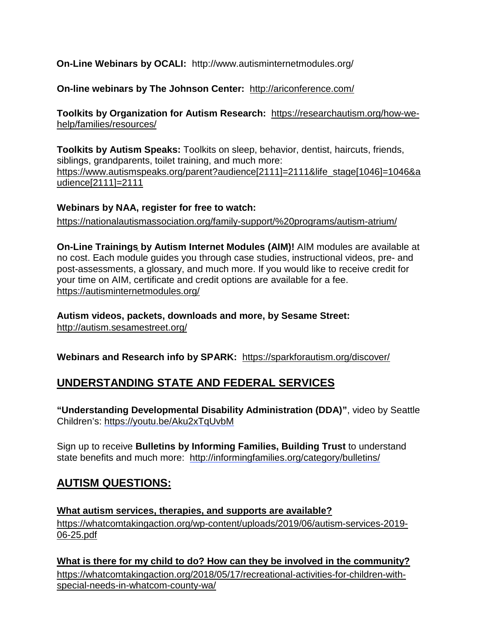## **On-Line Webinars by OCALI:** <http://www.autisminternetmodules.org/>

## **On-line webinars by The Johnson Center:** <http://ariconference.com/>

**Toolkits by Organization for Autism Research:** https://researchautism.org/how-wehelp/families/resources/

**Toolkits by Autism Speaks:** Toolkits on sleep, behavior, dentist, haircuts, friends, siblings, grandparents, toilet training, and much more: [https://www.autismspeaks.org/parent?audience\[2111\]=2111&life\\_stage\[1046\]=1046&a](https://www.autismspeaks.org/parent?audience%5b2111%5d=2111&life_stage%5b1046%5d=1046&audience%5b2111%5d=2111) [udience\[2111\]=2111](https://www.autismspeaks.org/parent?audience%5b2111%5d=2111&life_stage%5b1046%5d=1046&audience%5b2111%5d=2111)

#### **Webinars by NAA, register for free to watch:**

<https://nationalautismassociation.org/family-support/%20programs/autism-atrium/>

**On-Line Trainings by Autism Internet Modules (AIM)!** AIM modules are available at no cost. Each module guides you through case studies, instructional videos, pre- and post-assessments, a glossary, and much more. If you would like to receive credit for your time on AIM, certificate and credit options are available for a fee. <https://autisminternetmodules.org/>

**Autism videos, packets, downloads and more, by Sesame Street:**  <http://autism.sesamestreet.org/>

**Webinars and Research info by SPARK:** https://sparkforautism.org/discover/

## **UNDERSTANDING STATE AND FEDERAL SERVICES**

**"Understanding Developmental Disability Administration (DDA)"**, video by Seattle Children's: https://youtu.be/Aku2xTqUvbM

Sign up to receive **Bulletins by Informing Families, Building Trust** to understand state benefits and much more: <http://informingfamilies.org/category/bulletins/>

## **AUTISM QUESTIONS:**

**What autism services, therapies, and supports are available?** https://whatcomtakingaction.org/wp-content/uploads/2019/06/autism-services-2019- 06-25.pdf

**What is there for my child to do? How can they be involved in the community?** [https://whatcomtakingaction.org/2018/05/17/recreational-activities-for-children-with](https://whatcomtakingaction.org/2018/05/17/recreational-activities-for-children-with-special-needs-in-whatcom-county-wa/)[special-needs-in-whatcom-county-wa/](https://whatcomtakingaction.org/2018/05/17/recreational-activities-for-children-with-special-needs-in-whatcom-county-wa/)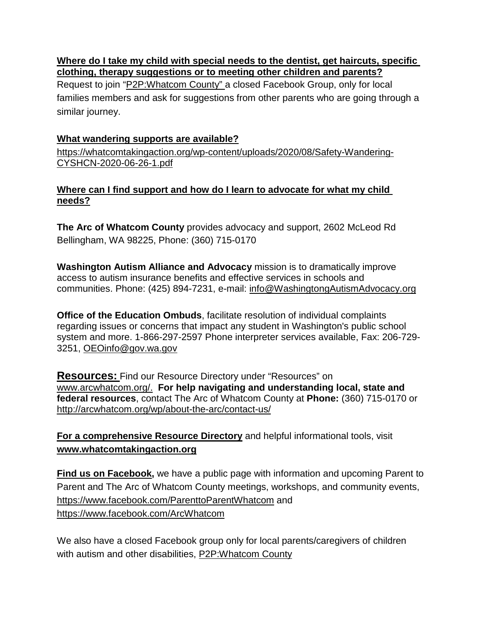#### **Where do I take my child with special needs to the dentist, get haircuts, specific clothing, therapy suggestions or to meeting other children and parents?**

Request to join ["P2P:Whatcom County"](https://www.facebook.com/groups/1289791781074855/) a closed Facebook Group, only for local families members and ask for suggestions from other parents who are going through a similar journey.

## **What wandering supports are available?**

[https://whatcomtakingaction.org/wp-content/uploads/2020/08/Safety-Wandering-](https://whatcomtakingaction.org/wp-content/uploads/2020/08/Safety-Wandering-CYSHCN-2020-06-26-1.pdf)[CYSHCN-2020-06-26-1.pdf](https://whatcomtakingaction.org/wp-content/uploads/2020/08/Safety-Wandering-CYSHCN-2020-06-26-1.pdf)

## **Where can I find support and how do I learn to advocate for what my child needs?**

**The Arc of Whatcom County** provides advocacy and support, 2602 McLeod Rd Bellingham, WA 98225, Phone: (360) 715-0170

**Washington Autism Alliance and Advocacy** mission is to dramatically improve access to autism insurance benefits and effective services in schools and communities. Phone: (425) 894-7231, e-mail: [info@WashingtongAutismAdvocacy.org](mailto:info@WashingtongAutismAdvocacy.org)

**Office of the Education Ombuds**, facilitate resolution of individual complaints regarding issues or concerns that impact any student in Washington's public school system and more. 1-866-297-2597 Phone interpreter services available, Fax: 206-729- 3251, [OEOinfo@gov.wa.gov](mailto:OEOinfo@gov.wa.gov)

**Resources:** Find our Resource Directory under "Resources" on [www.arcwhatcom.org/.](http://www.arcwhatcom.org/) **For help navigating and understanding local, state and federal resources**, contact The Arc of Whatcom County at **Phone:** (360) 715-0170 or <http://arcwhatcom.org/wp/about-the-arc/contact-us/>

**For a comprehensive [Resource Directory](https://whatcomtakingaction.org/2013/09/15/seas-resource-guide/)** and helpful informational tools, visit **[www.whatcomtakingaction.org](http://www.whatcomtakingaction.org/)**

**Find us on Facebook,** we have a public page with information and upcoming Parent to Parent and The Arc of Whatcom County meetings, workshops, and community events, <https://www.facebook.com/ParenttoParentWhatcom> and <https://www.facebook.com/ArcWhatcom>

We also have a closed Facebook group only for local parents/caregivers of children with autism and other disabilities, [P2P:Whatcom County](https://www.facebook.com/groups/1289791781074855/)